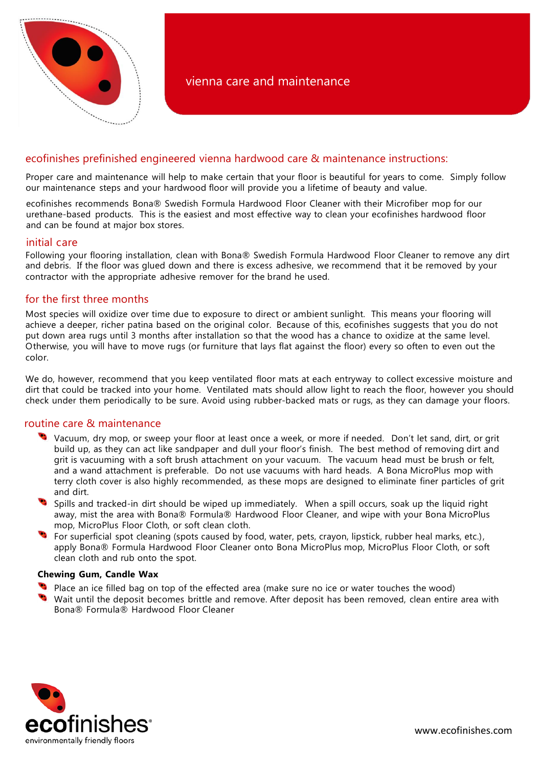

# ecofinishes prefinished engineered vienna hardwood care & maintenance instructions:

Proper care and maintenance will help to make certain that your floor is beautiful for years to come. Simply follow our maintenance steps and your hardwood floor will provide you a lifetime of beauty and value.

ecofinishes recommends Bona® Swedish Formula Hardwood Floor Cleaner with their Microfiber mop for our urethane-based products. This is the easiest and most effective way to clean your ecofinishes hardwood floor and can be found at major box stores.

#### initial care

Following your flooring installation, clean with Bona® Swedish Formula Hardwood Floor Cleaner to remove any dirt and debris. If the floor was glued down and there is excess adhesive, we recommend that it be removed by your contractor with the appropriate adhesive remover for the brand he used.

## for the first three months

Most species will oxidize over time due to exposure to direct or ambient sunlight. This means your flooring will achieve a deeper, richer patina based on the original color. Because of this, ecofinishes suggests that you do not put down area rugs until 3 months after installation so that the wood has a chance to oxidize at the same level. Otherwise, you will have to move rugs (or furniture that lays flat against the floor) every so often to even out the color.

We do, however, recommend that you keep ventilated floor mats at each entryway to collect excessive moisture and dirt that could be tracked into your home. Ventilated mats should allow light to reach the floor, however you should check under them periodically to be sure. Avoid using rubber-backed mats or rugs, as they can damage your floors.

### routine care & maintenance

- Vacuum, dry mop, or sweep your floor at least once a week, or more if needed. Don't let sand, dirt, or grit build up, as they can act like sandpaper and dull your floor's finish. The best method of removing dirt and grit is vacuuming with a soft brush attachment on your vacuum. The vacuum head must be brush or felt, and a wand attachment is preferable. Do not use vacuums with hard heads. A Bona MicroPlus mop with terry cloth cover is also highly recommended, as these mops are designed to eliminate finer particles of grit and dirt.
- Spills and tracked-in dirt should be wiped up immediately. When a spill occurs, soak up the liquid right away, mist the area with Bona® Formula® Hardwood Floor Cleaner, and wipe with your Bona MicroPlus mop, MicroPlus Floor Cloth, or soft clean cloth.
- **The superficial spot cleaning (spots caused by food, water, pets, crayon, lipstick, rubber heal marks, etc.),** apply Bona® Formula Hardwood Floor Cleaner onto Bona MicroPlus mop, MicroPlus Floor Cloth, or soft clean cloth and rub onto the spot.

#### **Chewing Gum, Candle Wax**

- Place an ice filled bag on top of the effected area (make sure no ice or water touches the wood)
- Wait until the deposit becomes brittle and remove. After deposit has been removed, clean entire area with Bona® Formula® Hardwood Floor Cleaner

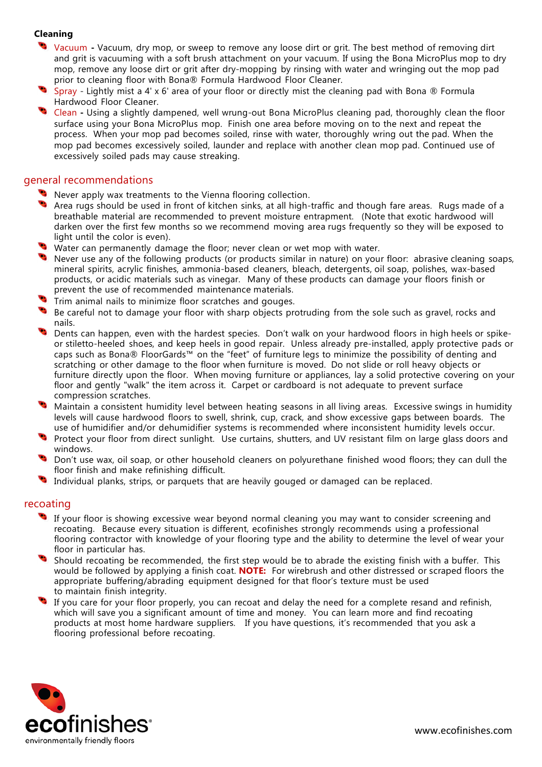## **Cleaning**

- Vacuum **-** Vacuum, dry mop, or sweep to remove any loose dirt or grit. The best method of removing dirt and grit is vacuuming with a soft brush attachment on your vacuum. If using the Bona MicroPlus mop to dry mop, remove any loose dirt or grit after dry-mopping by rinsing with water and wringing out the mop pad prior to cleaning floor with Bona® Formula Hardwood Floor Cleaner.
- Spray Lightly mist a 4' x 6' area of your floor or directly mist the cleaning pad with Bona  $\circledR$  Formula Hardwood Floor Cleaner.
- Clean **-** Using a slightly dampened, well wrung-out Bona MicroPlus cleaning pad, thoroughly clean the floor surface using your Bona MicroPlus mop. Finish one area before moving on to the next and repeat the process. When your mop pad becomes soiled, rinse with water, thoroughly wring out the pad. When the mop pad becomes excessively soiled, launder and replace with another clean mop pad. Continued use of excessively soiled pads may cause streaking.

## general recommendations

- **Never apply wax treatments to the Vienna flooring collection.**
- Area rugs should be used in front of kitchen sinks, at all high-traffic and though fare areas. Rugs made of a breathable material are recommended to prevent moisture entrapment. (Note that exotic hardwood will darken over the first few months so we recommend moving area rugs frequently so they will be exposed to light until the color is even).
- Water can permanently damage the floor; never clean or wet mop with water.
- $\bullet$  Never use any of the following products (or products similar in nature) on your floor: abrasive cleaning soaps, mineral spirits, acrylic finishes, ammonia-based cleaners, bleach, detergents, oil soap, polishes, wax-based products, or acidic materials such as vinegar. Many of these products can damage your floors finish or prevent the use of recommended maintenance materials.
- Trim animal nails to minimize floor scratches and gouges.
- Be careful not to damage your floor with sharp objects protruding from the sole such as gravel, rocks and nails.
- Dents can happen, even with the hardest species. Don't walk on your hardwood floors in high heels or spikeor stiletto-heeled shoes, and keep heels in good repair. Unless already pre-installed, apply protective pads or caps such as Bona® FloorGards™ on the "feet" of furniture legs to minimize the possibility of denting and scratching or other damage to the floor when furniture is moved. Do not slide or roll heavy objects or furniture directly upon the floor. When moving furniture or appliances, lay a solid protective covering on your floor and gently "walk" the item across it. Carpet or cardboard is not adequate to prevent surface compression scratches.
- Maintain a consistent humidity level between heating seasons in all living areas. Excessive swings in humidity levels will cause hardwood floors to swell, shrink, cup, crack, and show excessive gaps between boards. The use of humidifier and/or dehumidifier systems is recommended where inconsistent humidity levels occur.
- Protect your floor from direct sunlight. Use curtains, shutters, and UV resistant film on large glass doors and windows.
- Don't use wax, oil soap, or other household cleaners on polyurethane finished wood floors; they can dull the floor finish and make refinishing difficult.
- Individual planks, strips, or parquets that are heavily gouged or damaged can be replaced.

### recoating

- $\bullet$ If your floor is showing excessive wear beyond normal cleaning you may want to consider screening and recoating. Because every situation is different, ecofinishes strongly recommends using a professional flooring contractor with knowledge of your flooring type and the ability to determine the level of wear your floor in particular has.
- Should recoating be recommended, the first step would be to abrade the existing finish with a buffer. This would be followed by applying a finish coat. **NOTE:** For wirebrush and other distressed or scraped floors the appropriate buffering/abrading equipment designed for that floor's texture must be used to maintain finish integrity.
- If you care for your floor properly, you can recoat and delay the need for a complete resand and refinish, which will save you a significant amount of time and money. You can learn more and find recoating products at most home hardware suppliers. If you have questions, it's recommended that you ask a flooring professional before recoating.